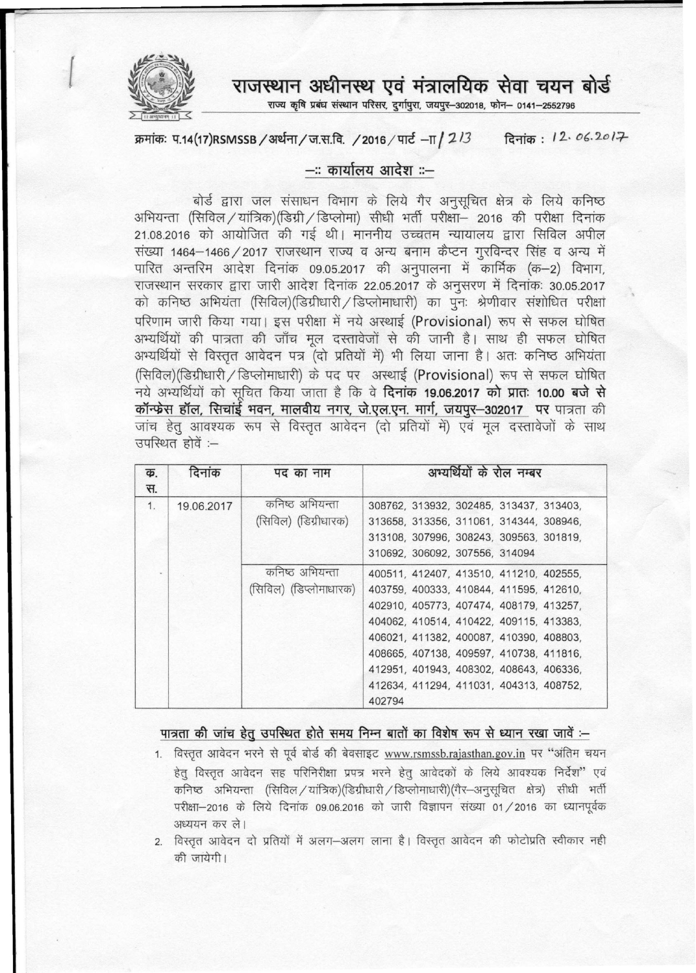

 $\left($ 

राजस्थान अधीनस्थ एवं मंत्रालयिक सेवा चयन बोर्<del>ड</del>

~ ~ ~ ~ ~ ~, ~, ~-302018, -q;R- 0141-2552796 <sup>~</sup> --------~------~~~----------------

क्रमांकः प.14(17)RSMSSB / अर्थना / ज.स.वि. / 2016 / पार्ट – $\pi$  / 2  $13$  दिनांक: । 2. *06.2.0* । <del>7</del>

## $-$ ः कार्यालय आदेश $: -$

बोर्ड द्वारा जल संसाधन विभाग के लिये गैर अनुसचित क्षेत्र के लिये कनिष्ठ अभियन्ता (सिविल / यांत्रिक)(डिग्री / डिप्लोमा) सीधी भर्ती परीक्षा– 2016 की परीक्षा दिनांक 21.08.2016 को आयोजित की गई थी। माननीय उच्चतम न्यायालय द्वारा सिविल अपील संख्या 1464-1466 / 2017 राजस्थान राज्य व अन्य बनाम कैप्टन गुरविन्दर सिंह व अन्य में पारित अन्तरिम आदेश दिनांक 09.05.2017 की अनुपालना में कार्मिक (क-2) विभाग, राजस्थान सरकार द्वारा जारी आदेश दिनांक 22.05.2017 के अनुसरण में दिनांकः 30.05.2017 को कनिष्ठ अभियंता (सिविल)(डिग्रीधारी / डिप्लोमाधारी) का पूनः श्रेणीवार संशोधित परीक्षा परिणाम जारी किया गया। इस परीक्षा में नये अस्थाई (Provisional) रूप से सफल घोषित अभ्यर्थियों की पात्रता की जाँच मूल दस्तावेजों से की जानी है। साथ ही सफल घोषित अभ्यर्थियों से विस्तृत आवेदन पत्र (दो प्रतियों में) भी लिया जाना है। अतः कनिष्ठ अभियंता (सिविल)(डिग्रीधारी / डिप्लोमाधारी) के पद पर अस्थाई (Provisional) रूप से सफल घोषित नये अभ्यर्थियों को सचित किया जाता है कि वे **दिनांक 19.06.2017 को प्रातः 10.00 बजे से** कॉन्फ्रेस हॉल, सिचांई भवन, मालवीय नगर, जे.एल.एन. मार्ग, जयपुर-302017 पर पात्रता की जांच हेतू आवश्यक रूप से विस्तृत आवेदन (दो प्रतियों में) एवं मूल दस्तावेजों के साथ उपरिथत होवें :-

| क. | दिनांक     | पद का नाम              | अभ्यर्थियों के रोल नम्बर                |
|----|------------|------------------------|-----------------------------------------|
| स. |            |                        |                                         |
| 1. | 19.06.2017 | कनिष्ठ अभियन्ता        | 308762, 313932, 302485, 313437, 313403, |
|    |            | (सिविल) (डिग्रीधारक)   | 313658, 313356, 311061, 314344, 308946, |
|    |            |                        | 313108, 307996, 308243, 309563, 301819, |
|    |            |                        | 310692, 306092, 307556, 314094          |
|    |            | कनिष्ठ अभियन्ता        | 400511, 412407, 413510, 411210, 402555, |
|    |            | (सिविल) (डिप्लोमाधारक) | 403759, 400333, 410844, 411595, 412610, |
|    |            |                        | 402910, 405773, 407474, 408179, 413257, |
|    |            |                        | 404062, 410514, 410422, 409115, 413383, |
|    |            |                        | 406021, 411382, 400087, 410390, 408803, |
|    |            |                        | 408665, 407138, 409597, 410738, 411816, |
|    |            |                        | 412951, 401943, 408302, 408643, 406336, |
|    |            |                        | 412634, 411294, 411031, 404313, 408752, |
|    |            |                        | 402794                                  |

## पात्रता की जांच हेतु उपस्थित होते समय निम्न बातों का विशेष रूप से ध्यान रखा जावें :-

1. विस्तृत आवेदन भरने से पूर्व बोर्ड की बेवसाइट [www.rsmssb.rajasthan.gov.in](http://www.rsmssb.rajasthan.gov.in) पर "अंतिम चयन हेत विस्तत आवेदन सह परिनिरीक्षा प्रपत्र भरने हेत आवेदकों के लिये आवश्यक निर्देश" एवं  $\sigma$  कनिष्ठ अभियन्ता (सिविल / यांत्रिक)(डिग्रीधारी / डिप्लोमाधारी)(गैर-अनुसूचित क्षेत्र) सीधी भर्ती परीक्षा-2016 के लिये दिनांक 09.06.2016 को जारी विज्ञापन संख्या 01/2016 का ध्यानपूर्वक अध्ययन कर ले।

2. विस्तृत आवेदन दो प्रतियों में अलग-अलग लाना है। विस्तृत आवेदन की फोटोप्रति स्वीकार नही की जांयेगी।